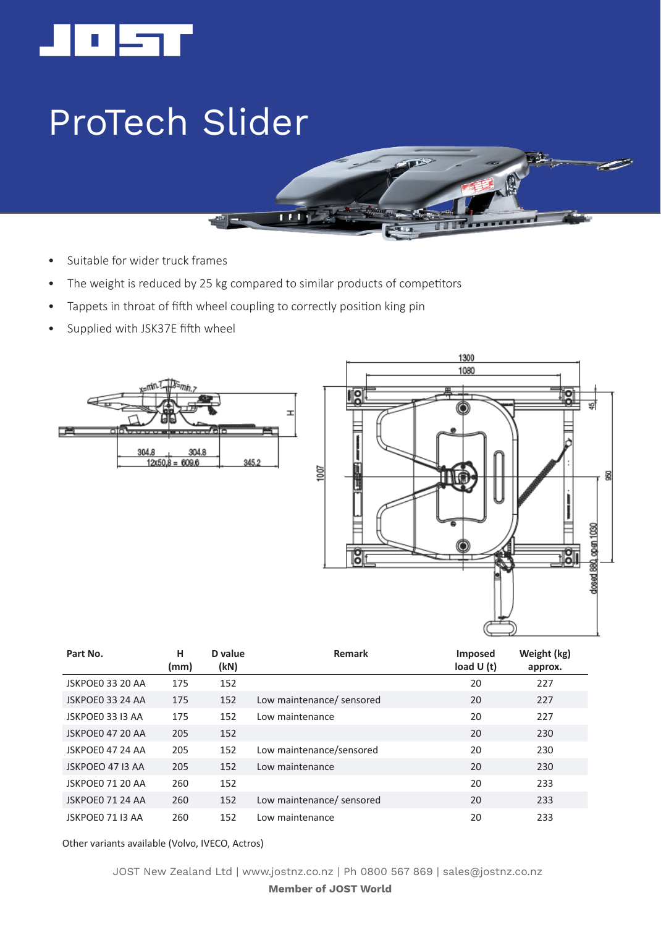

## ProTech Slider

- Suitable for wider truck frames
- The weight is reduced by 25 kg compared to similar products of competitors

 $\overline{\mathbf{H}}$ 

- Tappets in throat of fifth wheel coupling to correctly position king pin
- Supplied with JSK37E fifth wheel





**. . . . . . . .** 

| Part No.         | н<br>(mm) | D value<br>(kN) | Remark                    | Imposed<br>load $U(t)$ | Weight (kg)<br>approx. |
|------------------|-----------|-----------------|---------------------------|------------------------|------------------------|
| JSKPOE0 33 20 AA | 175       | 152             |                           | 20                     | 227                    |
| JSKPOE0 33 24 AA | 175       | 152             | Low maintenance/ sensored | 20                     | 227                    |
| JSKPOE0 33 I3 AA | 175       | 152             | Low maintenance           | 20                     | 227                    |
| JSKPOE0 47 20 AA | 205       | 152             |                           | 20                     | 230                    |
| JSKPOE0 47 24 AA | 205       | 152             | Low maintenance/sensored  | 20                     | 230                    |
| JSKPOEO 47 I3 AA | 205       | 152             | Low maintenance           | 20                     | 230                    |
| JSKPOE0 71 20 AA | 260       | 152             |                           | 20                     | 233                    |
| JSKPOE0 71 24 AA | 260       | 152             | Low maintenance/ sensored | 20                     | 233                    |
| JSKPOE0 71 I3 AA | 260       | 152             | Low maintenance           | 20                     | 233                    |

Other variants available (Volvo, IVECO, Actros)

JOST New Zealand Ltd | www.jostnz.co.nz | Ph 0800 567 869 | sales@jostnz.co.nz